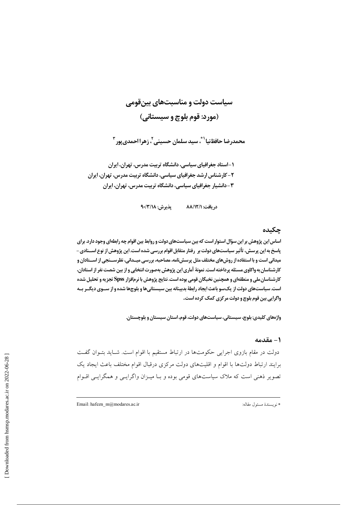سیاست دولت و مناسبتهای بینقومی (مورد: قوم بلوچ و سیستانی)

محمدرضا حافظنيا`\*، سيد سلمان حسيني′، زهرا احمدي يور "

۱-استاد جغرافیای سیاسی، دانشگاه تربیت مدرس، تهران، ایران ۲ – کارشناس ارشد جغرافیای سیاسی، دانشگاه تربیت مدرس، تهران، ایران ۳-دانشیار جغرافیای سیاسی، دانشگاه تربیت مدرس، تهران، ایران

> $9 - \frac{7}{10}$ يذيرش: ١٨/٣/١٨ در يافت: ٨٨/١٢/١

## چکیده

اساس این پژوهش بر این سؤال استوار است که بین سیاستهای دولت و روابط بین اقوام چه رابطهای وجود دارد. برای ياسخ به اين پرسش، تأثير سياستهاي دولت بر (فتار متقابل اقوام بررسي شده است. اين پژوهش از نوع اســـنادي – میدانی است و با استفاده از روش&ای مختلف مثل پرسش نامه، مصاحبه، بررسی میــدانی، نظرســنجی از اســتادان و کارشناسان به واکاوی مسئله پرداخته است. نمونهٔ آماری این پژوهش بهصورت انتخابی و از بین شصت نفر از استادان، کارشناسان ملی و منطقهای و همچنین نخبگان قومی بوده است. نتایج پژوهش با نرمافزار Spss تجزیه و تحلیل شده است. سیاستهای دولت از یک سو باعث ایجاد رابطهٔ بدبینانه بین سیستانیها و بلوچها شده و از سـوی دیگـر بـه واگرایی بین قوم بلوچ و دولت مرکزی کمک کرده است.

واژههای کلیدی: بلوچ، سیستانی، سیاستهای دولت، قوم، استان سیستان و بلوچستان.

## 1 – مقدمه

دولت در مقام بازوی اجرایی حکومتها در ارتباط مستقیم با اقوام است. شـاید بتـوان گفـت برایند ارتباط دولتها با اقوام و اقلیتهای دولت مرکزی درقبال اقوام مختلف باعث ایجاد یک تصویر ذهنی است که ملاک سیاستهای قومی بوده و بـا میـزان واگرایـی و همگرایـی اقــوام

Email: hafezn\_m@modares.ac.ir

\* نويسندة مسئول مقاله: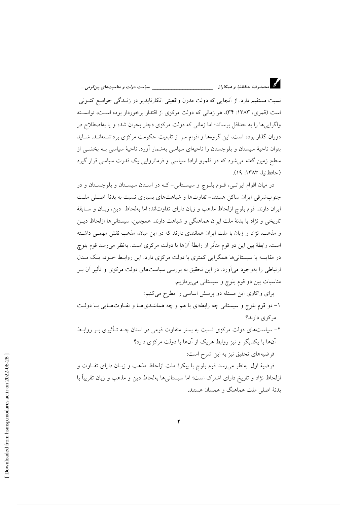د.<br>در استخدارضا حافظ نیا و همکاران میستخداستخداستخداست میباست دولت و مناسبتهای بین قومی …

نسبت مستقیم دارد. از اَنجایی که دولت مدرن واقعیتی انکارنایذیر در زنـدگی جوامـع کنـونی است (قمری، ۱۳۸۳: ۳۴)، هر زمانی که دولت مرکزی از اقتدار برخوردار بوده است، توانسته واگراییها را به حداقل برساند؛ اما زمانی که دولت مرکزی دچار بحران شده و یا بهاصطلاح در دوران گذار بوده است، این گروهها و اقوام سر از تابعیت حکومت مرکزی برداشتهانـد. شـاید بتوان ناحیهٔ سیستان و بلوچستان را ناحیهای سیاسی بهشمار آورد. ناحیهٔ سیاسی بــه بخشــی از سطح زمین گفته می شود که در قلمرو ارادهٔ سیاسی و فرمانروایی یک قدرت سیاسی قرار گیرد (حافظ نيا، ١٣٨٣: ١٩).

در میان اقوام ایرانبی، قبوم بلبوچ و سیستانی-که در استان سیستان و بلوچستان و در جنوبشرقی ایران ساکن هستند- تفاوتها و شباهتهای بسیاری نسبت به بدنهٔ اصلی ملت ايران دارند. قوم بلوچ ازلحاظ مذهب و زبان داراي تفاوتاند؛ اما بهلحاظ دين، زبـان و سـابقهٔ تاریخی و نژاد با بدنهٔ ملت ایران هماهنگی و شباهت دارند. همچنین، سیستانی ها ازلحاظ دیـن و مذهب، نژاد و زبان با ملت ایران همانندی دارند که در این میان، مذهب نقش مهمبی داشته است. رابطهٔ بین این دو قوم متأثر از رابطهٔ آنها با دولت مرکزی است. بهنظر میرسد قوم بلوچ در مقایسه با سیستانیها همگرایی کمتری با دولت مرکزی دارد. این روابط خـود، یـک مـدل ارتباطی را بهوجود می آورد. در این تحقیق به بررسی سیاستهای دولت مرکزی و تأثیر آن بـر مناسبات بین دو قوم بلوچ و سیستانی میپردازیم.

برای واکاوی این مسئله دو پرسش اساسی را مطرح میکنیم:

۱- دو قوم بلوچ و سیستانی چه رابطهای با هم و چه همانندیها و تفاوتهایی با دولت مرکزی دارند؟

۲– سیاستهای دولت مرکزی نسبت به بستر متفاوت قومی در استان چــه تــأثیری بــر روابــط آنها با یکدیگر و نیز روابط هریک از آنها با دولت مرکزی دارد؟ فرضيههاي تحقيق نيز به اين شرح است:

فرضيهٔ اول: بهنظر می رسد قوم بلوچ با پيكرهٔ ملت ازلحاظ مذهب و زبـان دارای تفــاوت و ازلحاظ نژاد و تاریخ دارای اشترک است؛ اما سیستانیها بهلحاظ دین و مذهب و زبان تقریباً با بدنهٔ اصلی ملت هماهنگ و همسان هستند.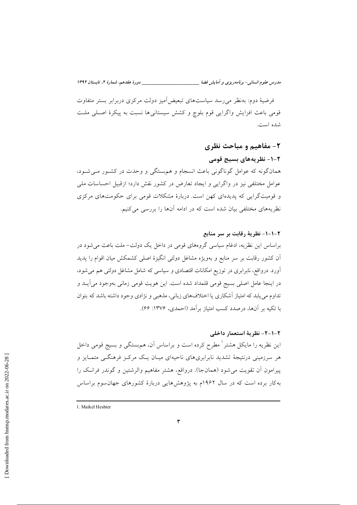مدرس علوم انسانی- برنامه دیزی و آمایش فضا \_\_\_\_\_\_ دورهٔ هفدهم، شمارهٔ ۲، تابستان ۱۳۹۲

فرضیهٔ دوم: بهنظر می رسد سیاستهای تبعیض آمیز دولت مرکزی دربرابر بستر متفاوت قومی باعث افزایش واگرایی قوم بلوچ و کشش سیستانیها نسبت به پیکرهٔ اصلی ملت شده است.

۲- مفاهیم و مباحث نظری ۲-۱- نظر بههای بسیج قومی همانگونه که عوامل گوناگونی باعث انسجام و هم بستگی و وحدت در کشـور مـیشـود، عوامل مختلفی نیز در واگرایی و ایجاد تعارض در کشور نقش دارد؛ ازقبیل احساسات ملی و قومیتگرایی که پدیدهای کهن است. دربارهٔ مشکلات قومی برای حکومتهای مرکزی نظریههای مختلفی بیان شده است که در ادامه آنها را بررسی می کنیم.

٢-١-١- نظرية رقابت بر سر منابع براساس این نظریه، ادغام سیاسی گروههای قومی در داخل یک دولت- ملت باعث می شود در اّن کشور رقابت بر سر منابع و بهویژه مشاغل دولتی انگیزهٔ اصلی کشمکش میان اقوام را پدید آورد. درواقع، نابرابری در توزیع امکانات اقتصادی و سیاسی که شامل مشاغل دولتی هم می شود، در اينجا عامل اصلي بسيج قومي قلمداد شده است. اين هويت قومي زماني بهوجود مي آيــد و تداوم می یابد که امتیاز آشکاری یا اختلافهای زبانی، مذهبی و نژادی وجود داشته باشد که بتوان با تکیه بر آنها، درصدد کسب امتیاز بر اَمد (احمدی، ۱۳۷۶: ۶۶).

۲-۱-۲- نظریهٔ استعمار داخلی این نظریه را مایکل هشتر ٰ مطرح کرده است و براساس آن، هم.بستگی و بسیج قومی داخل هر سرزمینی درنتیجهٔ تشدید نابرابریهای ناحیهای میـان یـک مرکـز فرهنگــی متمـایز و پیرامون آن تقویت می شود (همانجا). درواقع، هشتر مفاهیم والرشتین و گوندر فرانک را به کار برده است که در سال ۱۹۶۲م به پژوهشهایی دربارهٔ کشورهای جهان سوم براساس

<sup>1.</sup> Maikel Heshter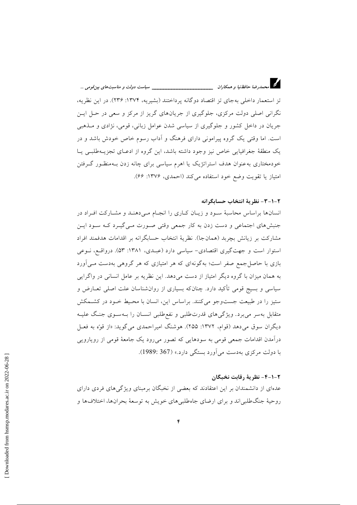تز استعمار داخلی به جای تز اقتصاد دو گانه یرداختند (بشیریه، ۱۳۷۴: ۲۳۶). در این نظریه، نگرانی اصلی دولت مرکزی، جلوگیری از جریانهای گریز از مرکز و سعی در حـل ایــن جریان در داخل کشور و جلوگیری از سیاسی شدن عوامل زبانی، قومی، نژادی و مـذهبی است. اما وقتی یک گروه پیرامونی دارای فرهنگ و اّداب رسوم خاص خودش باشد و در یک منطقهٔ جغرافیایی خاص نیز وجود داشته باشد، این گروه از ادعـای تجزیــهطلبـی یـا خودمختاری به عنوان هدف استراتژیک یا اهرم سیاسی برای چانه زدن بـهمنظـور گـرفتن امتياز يا تقويت وضع خود استفاده مي كند (احمدي، ١٣٧۶: ٤۶).

#### ٢-١-٣- نظر بهٔ انتخاب حسابگرانه

انسانها براساس محاسبهٔ سود و زیبان کباری را انجبام می دهنبد و مشبارکت افتراد در جنبشهای اجتماعی و دست زدن به کار جمعی وقتی صورت مـی¢یـرد کـه سـود ایـن مشاركت بر زيانش بچربد (همانجا). نظريهٔ انتخاب حسابگرانه بر اقدامات هدفمند افراد استوار است و جهت گیری اقتصادی- سیاسی دارد (عبـدی، ۱۳۸۱: ۵۳). درواقـع، نـوعی بازی با حاصل جمع صفر است؛ بهگونهای که هر امتیازی که هر گروهی بهدست مـی آورد به همان میزان با گروه دیگر امتیاز از دست میدهد. این نظریه بر عامل انسانی در واگرایی سیاسی و بسیج قومی تأکید دارد. چنانکه بسیاری از روانشناسان علت اصلی تعــارض و ستیز را در طبیعت جست وجو می کنند. براساس این، انسان با محـیط خـود در کشـمکش متقابل به سر می برد. ویژگی های قدرتطلبی و نفع طلبی انســان را بــهسـوی جنـگ علیــه دیگران سوق میدهد (قوام، ۱۳۷۲: ۲۵۵). هوشنگ امیراحمدی می گوید: «از قوّه به فعـل درآمدن اقدامات جمعی قومی به سودهایی که تصور میرود یک جامعهٔ قومی از رویارویی با دولت مرکزی بهدست می آورد بستگی دارد.» (367 :1989).

#### ٢-١-٤- نظريهٔ رقابت نخبگان

عدهای از دانشمندان بر این اعتقادند که بعضی از نخبگان برمبنای ویژگیهای فردی دارای روحیهٔ جنگ طلبی اند و برای ارضای جاهطلبی های خویش به توسعهٔ بحرانها، اختلاف ها و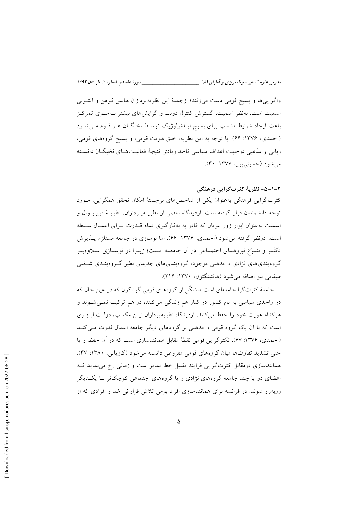واگرايي ها و بسيج قومي دست مي زنند؛ ازجملهٔ اين نظريهپردازان هانس كوهن و آنتـوني اسمیت است. بهنظر اسمیت، گسترش کنترل دولت و گرایشهای بیشتر بـهسـوی تمرکـز باعث ایجاد شرایط مناسب برای بسیج ایــدئولوژیک توسـط نخبگــان هــر قــوم مــیشــود (احمدي، ١٣٧۶: ۶۶). با توجه به اين نظريه، خلق هويت قومي، و بسيج گروههاي قومي، زبانی و مذهبی درجهت اهداف سیاسی تاحد زیادی نتیجهٔ فعالیـتهـای نخبگـان دانسـته می شود (حسینی پور، ۱۳۷۷: ۳۰).

### ٢-١-۵- نظريهٔ کثرتگرايي فرهنگي

کثرت گرایی فرهنگی بهعنوان یکی از شاخص های برجستهٔ امکان تحقق همگرایی، مـورد توجه دانشمندان قرار گرفته است. ازدیدگاه بعضی از نظریـهپـردازان، نظریـهٔ فورنیــوال و اسمیت به عنوان ابزار زور عریان که قادر به بهکارگیری تمام قــدرت بــرای اعمــال ســلطه است، درنظر گرفته می شود (احمدی، ۱۳۷۶: ۶۶). اما نوسازی در جامعه مستلزم پــذیرش تکثّـر و تنــوّع نیروهــای اجتمــاعی در آن جامعــه اســت؛ زیــرا در نوســازی عــلاوهبــر گروهبندیهای نژادی و مذهبی موجود، گروهبندیهای جدیدی نظیر گـروهبنـدی شـغلی طبقاتي نيز اضافه مي شود (هانتينگتون، ١٣٧٠: ٢١۶).

جامعهٔ کثرتگرا جامعهای است متشکّل از گروههای قومی گوناگون که در عین حال که در واحدی سیاسی به نام کشور در کنار هم زندگی می کنند، در هم ترکیب نمـی شـوند و هرکدام هویت خود را حفظ می کنند. ازدیدگاه نظریهپردازان ایــن مکتـب، دولـت ابـزاری است که با آن یک گروه قومی و مذهبی بر گروههای دیگر جامعه اعمال قدرت مے کنـد (احمدی، ۱۳۷۶: ۶۷). تکثرگرایی قومی نقطهٔ مقابل همانندسازی است که در آن حفظ و یا حتی تشدید تفاوتها میان گروههای قومی مفروض دانسته می شود (کاویانی، ۱۳۸۰: ۳۷). همانندسازی درمقابل کثرتگرایی فرایند تقلیل خط تمایز است و زمانی رخ می نماید ک اعضای دو یا چند جامعه گروههای نژادی و یا گروههای اجتماعی کوچک تر بـا یکــدیگر روبهرو شوند. در فرانسه برای همانندسازی افراد بومی تلاش فراوانی شد و افرادی که از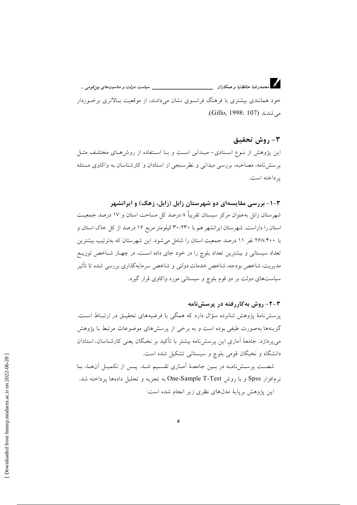خود همانندی بیشتری با فرهنگ فرانسوی نشان میدادند، از موقعیت بـالاتری برخـوردار مي شدند (Gillo, 1998: 107).

## ٣- روش تحقيق

این پژوهش از نـوع اسـنادی- میـدانی اسـت و بـا اسـتفاده از روشهـای مختلـف مثـل پرسشنامه، مصاحبه، بررسی میدانی و نظرسنجی از استادان و کارشناسان به واکاوی مسئله ير داخته است.

## ۳-۱- بررسی مقایسهای دو شهرستان زابل (زابل، زهک) و ایرانشهر

شهرستان زابل بهعنوان مرکز سیستان تقریباً ۸ درصد کل مساحت استان و ۱۷ درصد جمعیت استان را داراست. شهرستان ایرانشهر هم با ۳۰/۲۳۰ کیلومتر مربع ۱۶ درصد از کل خاک استان و با ۲۶۸/۴۰۰ نفر ۱۱ درصد جمعیت استان را شامل می شود. این شهرستان که بهتر تیب بیشترین تعداد سیستانی و بیشترین تعداد بلوچ را در خود جای داده اسـت، در چهـار شــاخص توزیــع مديريت، شاخص بودجه، شاخص خدمات دولتي و شاخص سرمايهگذاري بررسي شده تا تأثير سیاستهای دولت بر دو قوم بلوچ و سیستانی مورد واکاوی قرار گیرد.

## ۲-۲- روش به کاررفته در پرسش،نامه

پرسشنامهٔ پژوهش شانزده سؤال دارد که همگی با فرضیههای تحقیـق در ارتبـاط اسـت. گزینهها بهصورت طیفی بوده است و به برخی از پرسشهای موضوعات مرتبط با پژوهش میپردازد. جامعهٔ آماری این پرسشiامه بیشتر با تأکید بر نخبگان یعنی کارشناسان، استادان دانشگاه و نخبگان قومی بلوچ و سیستانی تشکیل شده است.

شصت پرسشنامه در بمین جامعـهٔ آمـاری تقسـیم شـد. پـس از تکمیـل آنهـا، بـا نرم افزار Spss و با روش One-Sample T-Test به تجزيه و تحليل دادهها پرداخته شد. این پژوهش برپایهٔ مدلهای نظری زیر انجام شده است: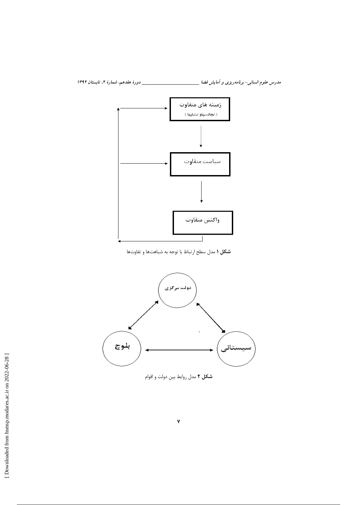مدرس علوم انسانی- برنامه ریزی و آمایش فضا \_\_\_\_\_\_\_\_\_\_\_\_\_\_\_\_\_\_\_\_\_\_\_\_\_\_\_\_\_\_\_ دورهٔ هفدهم، شمارهٔ ۲، تابستان ۱۳۹۲



شکل ۱ مدل سطح ارتباط با توجه به شباهتها و تفاوتها



شکل ۲ مدل روابط بین دولت و اقوام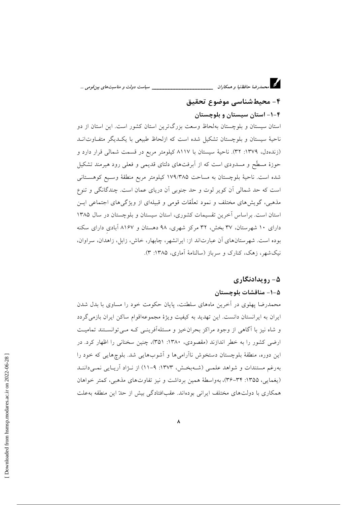م<br>تا محمد<sub>ا</sub>ضا حافظنیا و همکاران <sub>–</sub> سیاست دولت و مناسبتهای بین قومی ...

# ۴- محیطشناسی موضوع تحقیق

# ۴–۱– استان سیستان و بلوچستان

استان سیستان و بلوچستان بهلحاظ وسعت بزرگترین استان کشور است. این استان از دو ناحیهٔ سیستان و بلوچستان تشکیل شده است که ازلحاظ طبیعی با یک دیگر متف|وت|نــد (زندهدل، ۱۳۷۹: ۳۲). ناحیهٔ سیستان با ۸۱۱۷ کیلومتر مربع در قسمت شمالی قرار دارد و حوزهٔ مسطَّع و مسدودی است که از آبرفتهای دلتای قدیمی و فعلی رود هیرمند تشکیل شده است. ناحيهٔ بلوچستان به مساحت ١٧٩/٣٨۵ كيلومتر مربع منطقهٔ وسـيع كوهسـتاني است که حد شمالی آن کویر لوت و حد جنوبی آن دریای عمان است. چندگانگی و تنوع مذهبی، گویش های مختلف و نمود تعلّقات قومی و قبیلهای از ویژگی های اجتماعی ایـن استان است. براساس آخرین تقسیمات کشوری، استان سیستان و بلوچستان در سال ۱۳۸۵ دارای ۱۰ شهرستان، ۳۷ بخش، ۳۲ مرکز شهری، ۹۸ دهستان و ۸۱۶۷ آبادی دارای سکنه بوده است. شهر ستان های آن عبارتاند از: ایرانشهر، چابهار، خاش، زایل، زاهدان، سراوان، نیک شهر، زهک، کنارک و سرباز (سالنامهٔ آماری، ۱۳۸۵: ۳).

## ۵- رویدادنگاری

#### ۵–۱– مناقشات بلوچستان

محمدرضا پهلوی در أخرین ماههای سلطنت، پایان حکومت خود را مساوی با بدل شدن ایران به ایرانستان دانست. این تهدید به کیفیت ویژهٔ مجموعهاقوام ساکن ایران بازمی گردد و شاه نیز با آگاهی از وجود مراکز بحران خیز و مسئلهآفرینسی کـه مـی توانسـتند تمامیـت ارضی کشور را به خطر اندازند (مقصودی، ۱۳۸۰: ۳۵۱)، چنین سخنانی را اظهار کرد. در این دوره، منطقهٔ بلوچستان دستخوش ناآرامیها و آشوبهایی شد. بلوچهایی که خود را بهرغم مستندات و شواهد علمی (شـهبخـش، ۱۳۷۳: ۹-۱۱) از نـژاد آریـایی نمـی داننـد (يغمايي، ١٣٥۵: ٣۴–٣۶)، بهواسطة همين برداشت و نيز تفاوتهاي مذهبي، كمتر خواهان همکاری با دولتهای مختلف ایرانی بودهاند. عقبافتادگی بیش از حدّ این منطقه بهعلت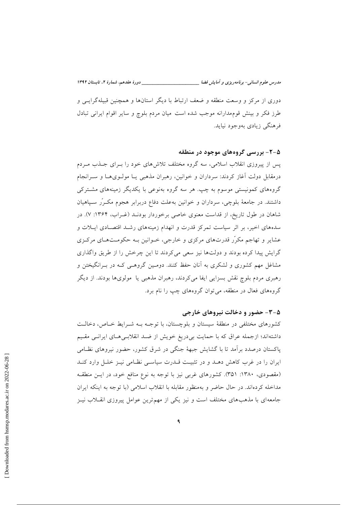مدرس علوم انسانی- برنامه ریزی و آمایش فضا \_\_

دوری از مرکز و وسعت منطقه و ضعف ارتباط با دیگر استانها و همچنین قبیلهگرایسی و طرز فکر و بینش قوممدارانه موجب شده است میان مردم بلوچ و سایر اقوام ایرانی تبادل فرهنگی زیادی بهوجود نیاید.

## ۵-۲- بررسی گروههای موجود در منطقه

یس از پیروزی انقلاب اسلامی، سه گروه مختلف تلاش های خود را بـرای جــذب مــردم درمقابل دولت آغاز کردند: سرداران و خوانین، رهبران مذهبی یـا مولـویهـا و سـرانجام گروههای کمونیستی موسوم به چپ. هر سه گروه بهنوعی با یکدیگر زمینههای مشترکی داشتند. در جامعهٔ بلوچی، سرداران و خوانین بهعلت دفاع دربرابر هجوم مکـرّر سـپاهیان شاهان در طول تاریخ، از قداست معنوی خاصی برخوردار بودنـد (غـراب، ۱۳۶۴: ۷). در سدههای اخیر، بر اثر سیاست تمرکز قدرت و انهدام زمینههای رشـد اقتصـادی ایـلات و عشایر و تهاجم مکرّر قدرتهای مرکزی و خارجی، خـوانین بـه حکومـتهـای مرکـزی گرایش پیدا کرده بودند و دولتها نیز سعی می کردند تا این چرخش را از طریق واگذاری مشاغل مهم کشوری و لشکری به آنان حفظ کنند. دومـین گروهـی کـه در بـرانگیختن و رهبری مردم بلوچ نقش بسزایی ایفا میکردند، رهبران مذهبی یا ً مولویها بودند. از دیگر گروههای فعال در منطقه، می توان گروههای چپ را نام برد.

## ۰۳-۵- حضور و دخالت نیروهای خارجی

کشورهای مختلفی در منطقهٔ سیستان و بلوچستان، با توجـه بـه شـرایط خـاص، دخالـت داشتهاند؛ ازجمله عراق که با حمایت بی دریغ خویش از ضـد انقلابـی هـای ایرانـی مقـیم پاکستان درصدد برآمد تا با گشایش جبههٔ جنگی در شرق کشور، حضور نیروهای نظـامی ایران را در غرب کاهش دهـد و در تثبیـت قـدرت سیاسـی نظـامی نیـز خلـل وارد کنـد (مقصودی، ۱۳۸۰: ۳۵۱). کشورهای غربی نیز با توجه به نوع منافع خود، در ایـن منطقـه مداخله كردهاند. در حال حاضر و بهمنظور مقابله با انقلاب اسلامي (با توجه به اينكه ايران جامعه ای با مذهبهای مختلف است و نیز یکی از مهم ترین عوامل پیروزی انقـلاب نیـز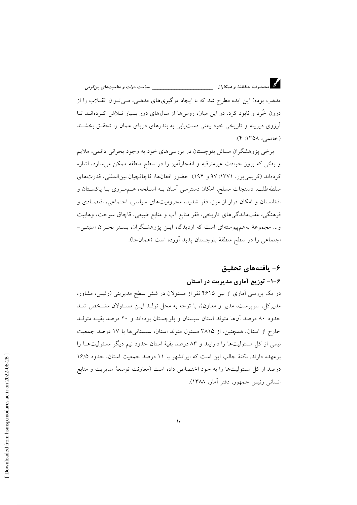مذهب بوده) این ایده مطرح شد که با ایجاد درگیریهای مذهبی، مـی تـوان انقــلاب را از درون خُرد و نابود کرد. در این میان، روس ها از سال های دور بسیار تـلاش کـردهانــد تــا آرزوی دیرینه و تاریخی خود یعنی دست یابی به بندرهای دریای عمان را تحقـق بخشـند (خاتمى، ١٣۵٨: ۴).

برخی پژوهشگران مسائل بلوچستان در بررسیهای خود به وجود بحرانی دائمی، ملایم و بطئی که بروز حوادث غیرمترقبه و انفجارآمیز را در سطح منطقه ممکن می سازد، اشاره كردهاند (كريمي يور، ١٣٧١: ٩٧ و ١٩٤). حضور افغانها، قاچاقچيان بين المللي، قدرتهاي سلطهطلب، دستجات مسلح، امکان دسترسی آسان بـه اسـلحه، هــممـرزی بــا پاکســتان و افغانستان و امکان فرار از مرز، فقر شدید، محرومیتهای سیاسی، اجتماعی، اقتصادی و فرهنگی، عقبماندگی های تاریخی، فقر منابع آب و منابع طبیعی، قاچاق سوخت، وهابیت و... مجموعهٔ بههم پیوستهای است که ازدیدگاه ایــن پژوهشـگران، بسـتر بحـران امنیتــی-اجتماعی را در سطح منطقهٔ بلوچستان پدید آورده است (همانجا).

## ۶– يافتەھاي تحقيق

# ۶–۱– توزیع آماری مدیریت در استان

در یک بررسی آماری از بین ۴۶۱۵ نفر از مسئولان در شش سطح مدیریتی (رئیس، مشاور، مدیرکل، سرپرست، مدیر و معاون)، با توجه به محل تولـد ایـن مسـئولان مشـخص شـد حدود ۸۰ درصد آنها متولد استان سیستان و بلوچستان بودهاند و ۲۰ درصد بقیـه متولـد خارج از استان. همچنین، از ۳۸۱۵ مسئول متولد استان، سیستانی ها با ۱۷ درصد جمعیت نیمی از کل مسئولیتها را دارایند و ۸۳ درصد بقیهٔ استان حدود نیم دیگر مسئولیتهـا را برعهده دارند. نکتهٔ جالب این است که ایرانشهر با ١١ درصد جمعیت استان، حدود ١۶/٥ درصد از کل مسئولیتها را به خود اختصاص داده است (معاونت توسعهٔ مدیریت و منابع انسانی رئیس جمهور، دفتر آمار، ۱۳۸۸).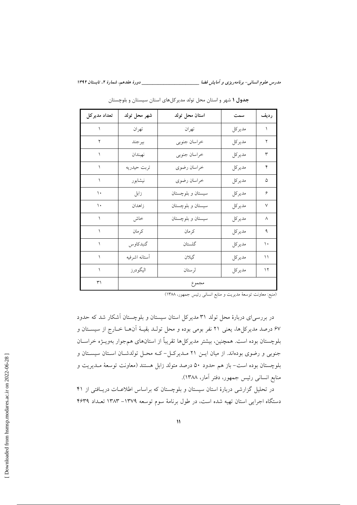| تعداد مديركل  | شهر محل تولد  | استان محل تولد    | سمت    | رديف      |
|---------------|---------------|-------------------|--------|-----------|
|               | تهران         | تهران             | مديركل | ١         |
| ۲             | بيرجند        | خراسان جنوبي      | مديركل | ۲         |
|               | نهبندان       | خراسان جنوبي      | مديركل | ٣         |
| ١             | تربت حيدريه   | خراسان رضوي       | مديركل | ۴         |
|               | نيشابور       | خراسان رضوي       | مديركل | ۵         |
| ١.            | زابل          | سیستان و بلوچستان | مديركل | ۶         |
| $\mathcal{L}$ | زاهدان        | سیستان و بلوچستان | مديركل | $\lor$    |
|               | خاش           | سیستان و بلوچستان | مديركل | ٨         |
|               | كرمان         | كرمان             | مديركل | ٩         |
| ١             | گنبدكاوس      | گلستان            | مديركل | ١.        |
|               | أستانه اشرفيه | گيلان             | مديركل | ۱۱        |
| ١             | اليگودرز      | لرستان            | مديركل | ۱۲ $\tau$ |
| ٣١            |               | مجموع             |        |           |

جدول ۱ شهر و استان محل تولد مدیر کلهای استان سیستان و بلوچستان

(منبع: معاونت توسعهٔ مدیریت و منابع انسانی رئیس جمهور، ۱۳۸۸)

در بررسیای دربارهٔ محل تولد ۳۱ مدیرکل استان سیستان و بلوچستان آشکار شد که حدود ۶۷ درصد مدیرکل ها، یعنی ۲۱ نفر بومی بوده و محل تولـد بقیـهٔ آن۱ا خـارج از سیســتان و بلوچستان بوده است. همچنین، بیشتر مدیرکلها تقریباً از استانهای همجوار بهویــژه خراســان جنوبی و رضوی بودهاند. از میان ایــن ۲۱ مــدیرکــل-کـه محــل تولدشــان اسـتان سیسـتان و بلوچستان بوده است– باز هم حدود ۵۰ درصد متولد زابل هستند (معاونت توسعهٔ مـدیریت و منابع انسانی رئیس جمهور، دفتر آمار، ۱۳۸۸).

در تحلیل گزارشی دربارهٔ استان سیستان و بلوچستان که براساس اطلاعـات دریـافتی از ۴۱ دستگاه اجرایی استان تهیه شده است، در طول برنامهٔ سوم توسعه ۱۳۷۹– ۱۳۸۳ تعداد ۴۶۳۹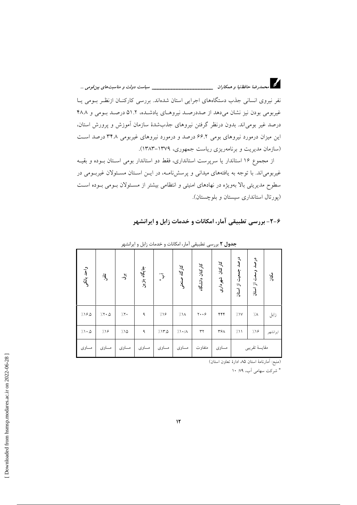د.<br>در استخدارضا حافظ نیا و همکاران میستندستند استندامیستند ولت و مناسبت های بین قومی …

نفر نیروی انسانی جذب دستگاههای اجرایی استان شدهاند. بررسی کارکنــان ازنظـر بــومی یــا غیربومی بودن نیز نشان میدهد از صددرصد نیروهای یادشده، ۵۱.۲ درصد بومی و ۴۸.۸ درصد غیر بومیاند. بدون درنظر گرفتن نیروهای جذبشدهٔ سازمان آموزش و پرورش استان، این میزان درمورد نیروهای بومی ۶۶.۲ درصد و درمورد نیروهای غیربومی ۳۴.۸ درصد است (سازمان مدیریت و برنامهریزی ریاست جمهوری، ۱۳۷۹–۱۳۸۳).

از مجموع ١۶ استاندار يا سرپرست استانداري، فقط دو استاندار بومي اسـتان بـوده و بقيـه غیربومی اند. با توجه به یافتههای میدانی و پرسشنامـه، در ایــن اسـتان مسـئولان غیربـومی در سطوح مدیریتی بالا بهویژه در نهادهای امنیتی و انتظامی بیشتر از مسئولان بومی بوده است (پورتال استانداری سیستان و بلوچستان).

|             | <b>جدول ۲</b> بررسی تطبیقی آمار، امکانات و خدمات زابل و ایرانشهر |                |              |                         |                       |                          |                 |                     |                        |          |
|-------------|------------------------------------------------------------------|----------------|--------------|-------------------------|-----------------------|--------------------------|-----------------|---------------------|------------------------|----------|
| واحد بانكمى | $\ddot{a}$                                                       | $\ddot{\cdot}$ | جايگاه بنزين | $\tilde{\mathcal{L}}_*$ | کارگاه صنعتی          | کارکنان دانشگاه          | کارکنان شهرداری | درصد جمعیت از استان | درصد وسعت از استان     | ىگان     |
| 7190        | $7.7 \cdot 0$                                                    | 7.7.           | ٩            | 7.19                    | $\frac{1}{2}$         | $y \cdot \cdot \epsilon$ | ۴۴۴             | 7.1V                | $\gamma_{\mathcal{A}}$ | زابل     |
| 71.0        | 719                                                              | ۱۵٪            | ٩            | 7.170                   | $7.1 \cdot / \Lambda$ | ٣٢                       | ٣۶٨             | 711                 | 7.19                   | ايرانشهر |
| مساوى       | مساوى                                                            | مساوى          | مساوى        | مساوى                   | مساوى                 | متفاوت                   | مساوى           |                     | مقايسة تقريبي          |          |

۶-۲- بررسی تطبیقی آمار، امکانات و خدمات زابل و ایرانشهر

(منبع: أمارنامهٔ استان ۸۵ ادارهٔ تعاون استان)

\* شرکت سهامی آب، ۷۹: ۱۰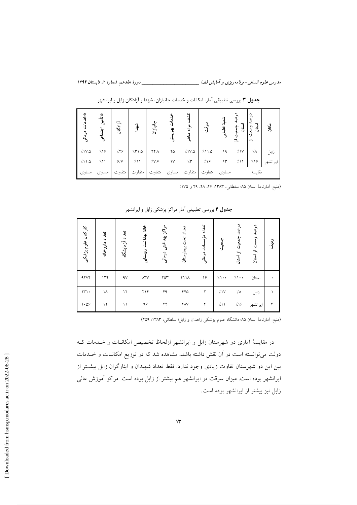مدرس علوم انسانی- برنامه ریزی و آمایش فضا \_\_\_\_\_\_\_\_\_\_\_\_\_\_\_\_\_\_\_\_\_\_\_\_\_\_\_\_\_\_ دورهٔ هفدهم، شمارهٔ ۲، تابستان ۱۳۹۲

| *<br>رام قرانی<br>(۱۰<br>درمانی | ِ * تاًٌ<br>مه<br>ولم | آزادگان | شهد    | جانبازان | Ŀ<br>汀<br>$\ddot{\mathcal{F}}$ | Ņ<br>$\cdot$ d<br>مو<br>آ | ڙ:     | -43<br>್ಕ<br>Ъ.<br>$\mathbf{v}$ | ኋ<br>استان<br>$\mathbf{\hat{3}}$<br>٠)<br>一 | $\tilde{3}$<br>븽<br>、 | $\vec{A}$ |
|---------------------------------|-----------------------|---------|--------|----------|--------------------------------|---------------------------|--------|---------------------------------|---------------------------------------------|-----------------------|-----------|
| ۱۷۵ /                           | 7.19                  | 7.79    | 7510   | ۲۴۸      | ۲۵                             | 7.1V.0                    | 7.11.0 | ۱۹                              | 71V                                         | $7\lambda$            | زابل      |
| 711.0                           | 7/11                  | 9/1     | 7/11   | $/$ V.V  | ١٧                             | $\gamma$                  | 7.19   | ۱۳                              | 711                                         | 7.19                  | ايرانشهر  |
| مساوى                           | مساوى                 | متفاوت  | متفاوت | متفاوت   | مساوى                          | متفاوت                    | متفاوت | مساوى                           |                                             | مقايسه                |           |

جدول ۳ بررسی تطبیقی آمار، امکانات و خدمات جانبازان، شهدا و آزادگان زابل و ایرانشهر

(منبع: أمارنامة استان ٧۵ سلطاني، ١٣٨٣: ٢۶، ٢٨، ٢٩ و ١٧٥)

ج**دول ۴** بررسی تطبیقی آمار مراکز پزشکی زابل و ایرانشهر

| کارکنان علوم پزشکی | تعداد داروخانه | تعداد آزمایشگاه | خانة بهداشت روستايى       | مراكز بهداشتى درمانى | تعداد تخت بيمارستان | تعداد مؤس<br>سات درمانی | خ<br>أبادي.<br>أ | درصد<br>جمعيت از استان | درصد وسعت از استان | ردية.        |
|--------------------|----------------|-----------------|---------------------------|----------------------|---------------------|-------------------------|------------------|------------------------|--------------------|--------------|
| 47Y                | ۱۳۴            | 4V              | $\wedge^{\mathsf{w}}\vee$ | $\gamma$             | ۲۱۱۸                | ۱۶                      | $/ \cdot \cdot$  | $\gamma \rightarrow$   | استان              |              |
| $\mathcal{W}$      | ۱۸             | ۱۲ $\tau$       | $Y \setminus Y$           | ۴۹                   | ۴۴۵                 | ۲                       | 7.1V             | ٠/٨                    | زابل               |              |
| $\cdot \omega$ ۶   | $\gamma$       | ۱۱              | ۹۶                        | $\gamma\gamma$       | <b>YAV</b>          | ۲                       | 711              | 7.19                   | ايرانشهر           | $\mathsf{r}$ |

(منبع: آمارنامهٔ استان ۹۵؛ دانشگاه علوم پزشکی زاهدان و زابل؛ سلطانی، ۱۳۸۳: ۲۵۹)

در مقایسهٔ آماری دو شهرستان زابل و ایرانشهر ازلحاظ تخصیص امکانــات و خــدمات کــه دولت میتوانسته است در آن نقش داشته باشد، مشاهده شد که در توزیع امکانــات و خــدمات بین این دو شهرستان تفاوت زیادی وجود ندارد. فقط تعداد شهیدان و ایثارگران زابل بیشتر از ایرانشهر بوده است. میزان سرقت در ایرانشهر هم بیشتر از زابل بوده است. مراکز آموزش عالی زابل نیز بیشتر از ایرانشهر بوده است.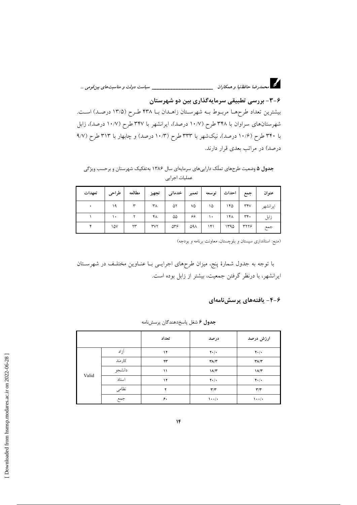۶-۳- بررسی تطبیقی سرمایهگذاری بین دو شهرستان بیشترین تعداد طرحها مربوط بـه شهرسـتان زاهـدان بـا ۴۳۸ طـرح (۱۳/۵ درصـد) اسـت. شهرستانهای سراوان با ۳۴۸ طرح (۱۰/۷ درصد)، ایرانشهر با ۳۴۷ طرح (۱۰/۷ درصد)، زابل با ۳۴۰ طرح (۱۰/۶ درصد)، نیکشهر با ۳۳۳ طرح (۱۰/۳ درصد) و چابهار با ۳۱۳ طرح (۹/۷ درصد) در مراتب بعدی قرار دارند.

جدول ۵ وضعیت طرحهای تملّک داراییهای سرمایهای سال ۱۳۸۶ بهتفکیک شهرستان و برحسب ویژگی عمليات اجرايي

| تعهدات | طراحي     | مطالعه | تجهيز                            | خدماتى     | تعمير | توسعه | ا احداث | جمع  | عنوان    |
|--------|-----------|--------|----------------------------------|------------|-------|-------|---------|------|----------|
|        | ۱۹        | ٣      | ۳Λ                               | ۵۲         | ٧۵    | ۱۵    | ۱۴۵     | rrv  | ايرانشهر |
|        | $\bullet$ | ۲      | ۴٨                               | ۵۵         | ۶۶    | ۱۰    | ۱۴۸     | ٣۴٠  | زابل     |
|        | ١۵٧       | ۲۳     | $\mathsf{r}\mathsf{v}\mathsf{r}$ | $\Delta r$ | ۵۹۸   | ۱۴۱   | ۱۳۹۵    | ۳۲۲۶ | جمع      |

(منبع: استانداری سیستان و بلوچستان، معاونت برنامه و بودجه)

با توجه به جدول شمارهٔ پنج، میزان طرحهای اجرایـی بـا عنــاوین مختلـف در شهرســتان ایرانشهر، با درنظر گرفتن جمعیت، بیشتر از زابل بوده است.

۶-۴- يافتەهاي پرسشنامەاي

|       |        | تعداد | درصد                           | ارزش درصد                        |
|-------|--------|-------|--------------------------------|----------------------------------|
|       | آزاد   | ١٢    | $Y \cdot / \cdot$              | $Y \cdot / \cdot$                |
|       | كارمند | ۲۳    | $\mathbf{Y}\Lambda/\mathbf{Y}$ | $\mathbf{Y} \wedge / \mathbf{Y}$ |
| Valid | دانشجو | ۱۱    | $1\Lambda/\Upsilon$            | $1\Lambda/\tau$                  |
|       | استاد  | ۱۲    | $Y \cdot / \cdot$              | $Y \cdot / \cdot$                |
|       | نظامى  | ۲     | $\mathbf{r}/\mathbf{r}$        | $\mathbf{r}/\mathbf{r}$          |
|       | جمع    | ۶۰    | $\cdots$                       | $\lambda \cdot \cdot / \cdot$    |

جدول ۶ شغل پاسخدهندگان پرسشنامه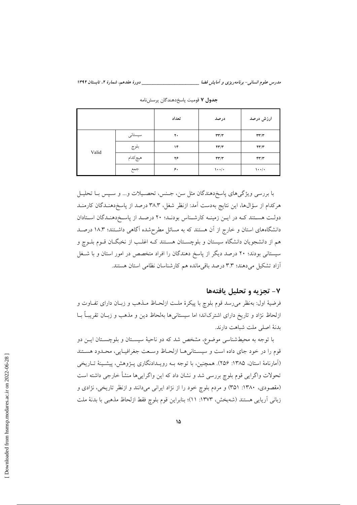مدرس علوم انسانی- برنامهریزی و آمایش فضا

|       |          | تعداد | درصد                                | ارزش درصد                           |
|-------|----------|-------|-------------------------------------|-------------------------------------|
| Valid | سیستانی  | ۲۰    | $\mathbf{r}\mathbf{r}/\mathbf{r}$   | $\mathbf{r}\mathbf{r}/\mathbf{r}$   |
|       | بلوچ     | ۱۴    | $\mathbf{Y}\mathbf{Y}'/\mathbf{Y}'$ | $\mathbf{Y}\mathbf{Y}'/\mathbf{Y}'$ |
|       | هيچ كدام | ۲۶    | $\mathbf{r}\mathbf{r}/\mathbf{r}$   | $\mathbf{r}\mathbf{r}/\mathbf{r}$   |
|       | جمع      | ۶۰    | $\cdots$                            | $\cdots$                            |

جدول ۷ قومیت پاسخدهندگان پرسشنامه

با بررسی ویژگیهای پاسخدهندگان مثل سن، جنس، تحصـیلات و... و سـپس بـا تحلیـل هرکدام از سؤالها، این نتایج بهدست اَمد: ازنظر شغل، ۳۸.۳ درصد از پاسخدهنـدگان کارمنــد دولت هستند کـه در ايـن زمينـه کارشـناس بودنـد؛ ٢٠ درصـد از پاسـخ(هنـدگان اسـتادان دانشگاههای استان و خارج از آن هستند که به مسائل مطرحشده آگاهی داشتند؛ ۱۸.۳ درصـد هم از دانشجویان دانشگاه سیستان و بلوچسـتان هسـتند کـه اغلـب از نخبگــان قــوم بلــوچ و سیستانی بودند؛ ۲۰ درصد دیگر از پاسخ دهندگان را افراد متخصص در امور استان و با شـغل آزاد تشکیل می دهند؛ ۳.۳ درصد باقی مانده هم کارشناسان نظامی استان هستند.

## ۷- تجزیه و تحلیل یافتهها

فرضيهٔ اول: بهنظر می رسد قوم بلوچ با پيكرهٔ ملت ازلحـاظ مـذهب و زبـان داراي تفــاوت و ازلحاظ نژاد و تاریخ دارای اشترکاند؛ اما سیستانیها بهلحاظ دین و مذهب و زبـان تقریبـاً بــا بدنة اصلى ملت شباهت دارند.

با توجه به محیطشناسی موضوع، مشخص شد که دو ناحیهٔ سیسـتان و بلوچسـتان ایــن دو قوم را در خود جاي داده است و سيستاني هـا ازلحـاظ وسـعت جغرافيـايي، محـدود هسـتند (آمارنامهٔ استان، ۱۳۸۵: ۲۵۶). همچنین، با توجه بـه رویـدادنگاری پـژوهش، پیشـینهٔ تـاریخی تحولات واگرایی قوم بلوچ بررسی شد و نشان داد که این واگراییها منشأ خارجی داشته است (مقصودي، ۱۳۸۰: ۳۵۱) و مردم بلوچ خود را از نژاد ایرانی میدانند و ازنظر تاریخی، نژادی و زباني أريايي هستند (شەبخش، ١٣٧٣: ١١)؛ بنابراين قوم بلوچ فقط ازلحاظ مذهبي با بدنهٔ ملت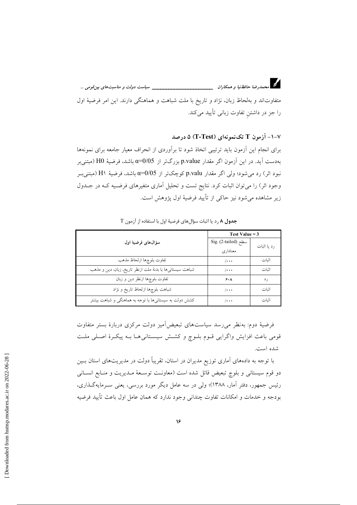

د.<br>در استخدارضا حافظ نیا و همکاران میستخداستخداستخداست میباست دولت و مناسبتهای بین قومی …

متفاوتاند و بهلحاظ زبان، نژاد و تاریخ با ملت شباهت و هماهنگی دارند. این امر فرضیهٔ اول را جز در داشتن تفاوت زبانی تأیید میکند.

۷-۱- آزمون T تکنمونهای (T-Test) ۵ درصد

برای انجام این اَزمون باید ترتیبی اتخاذ شود تا براَوردی از انحراف معیار جامعه برای نمونهها بهدست آید. در این آزمون اگر مقدار p.value بزرگتر از α=0/05 باشد، فرضیهٔ H0 (مبتنیبر نبود اثر) رد می شود؛ ولی اگر مقدار p.valu کوچکتر از α=0/05 باشد، فرضیهٔ H۱ (مبتنی ب وجود اثر) را میتوان اثبات کرد. نتایج تست و تحلیل آماری متغیرهای فرضـیه کـه در جـلـول زير مشاهده مي شود نيز حاكي از تأييد فرضيهٔ اول پژوهش است.

|                                                            | Test Value $=$ 3       |             |  |  |
|------------------------------------------------------------|------------------------|-------------|--|--|
| سؤال های فرضیهٔ اول                                        | Sig. $(2$ -tailed) سطح | رد یا اثبات |  |  |
|                                                            | معناداري               |             |  |  |
| تفاوت بلوچها ازلحاظ مذهب                                   | $/ \cdot \cdot \cdot$  | اثبات       |  |  |
| شباهت سیستانیها با بدنهٔ ملت ازنظر تاریخ، زبان، دین و مذهب | $/ \cdots$             | اثبات       |  |  |
| تفاوت بلوچها ازنظر دين و زبان                              | 5.1                    | ر د         |  |  |
| شباهت بلوچها ازلحاظ تاريخ و نژاد                           | $/ \cdot \cdot \cdot$  | اثنات       |  |  |
| کشش دولت به سیستانیها با توجه به هماهنگی و شباهت بیشتر     | /.                     | اثنات       |  |  |

جدول ۸ رد یا اثبات سؤالهای فرضیهٔ اول با استفاده از آزمون T

فرضیهٔ دوم: بهنظر می رسد سیاستهای تبعیضآمیز دولت مرکزی دربارهٔ بستر متفاوت قومی باعث افزایش واگرایی قـوم بلـوچ و کشـش سیسـتانی۵ـا بـه پیکـرهٔ اصـلی ملـت شده است.

با توجه به دادههای آماری توزیع مدیران در استان، تقریباً دولت در مدیریتهای استان بـین دو قوم سیستانی و بلوچ تبعیض قائل شده است (معاونـت توسـعهٔ مـدیریت و منـابع انســانی رئیس جمهور، دفتر آمار، ۱۳۸۸)؛ ولی در سه عامل دیگر مورد بررسی، یعنی سـرمایهگـذاری، بودجه و خدمات و امکانات تفاوت چندانی وجود ندارد که همان عامل اول باعث تأیید فرضیه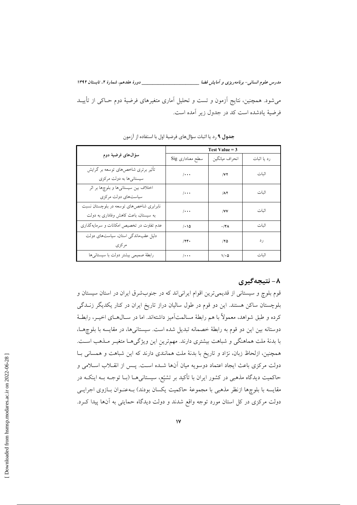\_\_\_\_\_\_ دورهٔ هفدهم، شمارهٔ ۲، تابستان ۱۳۹۲ مدرس علوم انسانی- برنامه دیزی و آمایش فضا \_\_ می شود. همچنین، نتایج آزمون و تست و تحلیل آماری متغیرهای فرضیهٔ دوم حـاکی از تأییــد فرضيهٔ يادشده است كد در جدول زير آمده است.

|                                                                | Test Value $=$ 3      |                |             |  |  |  |
|----------------------------------------------------------------|-----------------------|----------------|-------------|--|--|--|
| سؤال های فرضیهٔ دوم                                            | سطح معناداری Sig      | انحراف ميانگين | رد یا اثبات |  |  |  |
| تأثیر برتری شاخصهای توسعه بر گرایش<br>سیستانی ها به دولت مرکزی | $/ \cdot \cdot \cdot$ | /VI            | اثبات       |  |  |  |
|                                                                |                       |                |             |  |  |  |
| اختلاف بین سیستانیها و بلوچها بر اثر                           | $/ \cdots$            | $\Lambda$      | اثبات       |  |  |  |
| سیاستهای دولت مرکزی                                            |                       |                |             |  |  |  |
| نابرابری شاخصهای توسعه در بلوچستان نسبت                        |                       |                |             |  |  |  |
| به سیستان، باعث کاهش وفاداری به دولت                           | $/ \cdot \cdot \cdot$ | /VV            | اثبات       |  |  |  |
| عدم تفاوت در تخصیص امکانات و سرمایهگذاری                       | $/ \cdot \circ$       | $-$ /۴۸        | اثبات       |  |  |  |
| دلیل عقب ماندگی استان، سیاستهای دولت                           |                       |                |             |  |  |  |
| مرکزی                                                          | /74.                  | /70            | رد          |  |  |  |
| رابطهٔ صمیمی بیشتر دولت با سیستانیها                           | $/ \cdot \cdot \cdot$ | $1/\cdot 0$    | اثبات       |  |  |  |

جدول ۹ رد یا اثبات سؤالهای فرضیهٔ اول با استفاده از آزمون

# ۸- نتیجهگیری

قوم بلوچ و سیستانی از قدیمیترین اقوام ایرانیاند که در جنوبشرق ایران در استان سیستان و بلوچستان ساکن هستند. این دو قوم در طول سالیان دراز تاریخ ایران در کنار یکدیگر زنــدگی كرده و طبق شواهد، معمولاً با هم رابطهٔ مسالمتآمیز داشتهاند. اما در ســال۵هــای اخیــر، رابطــهٔ دوستانه بین این دو قوم به رابطهٔ خصمانه تبدیل شده است. سیستانیها، در مقایسه با بلوچهــا، با بدنهٔ ملت هماهنگی و شباهت بیشتری دارند. مهمترین این ویژگیهـا متغیـر مـذهب اسـت. همچنین، ازلحاظ زبان، نژاد و تاریخ با بدنهٔ ملت همانندی دارند که این شباهت و همسانی بـا دولت مرکزی باعث ایجاد اعتماد دوسویه میان آنها شـده اسـت. پـس از انقــلاب اســلامی و حاکمیت دیدگاه مذهبی در کشور ایران با تأکید بر تشیّع، سیستانیهــا (بــا توجــه بــه اینکــه در مقایسه با بلوچها ازنظر مذهبی با مجموعهٔ حاکمیت یکسان بودند) بـهعنـوان بـازوی اجرایــی دولت مرکزی در کل استان مورد توجه واقع شدند و دولت دیدگاه حمایتی به آنها پیدا کـرد.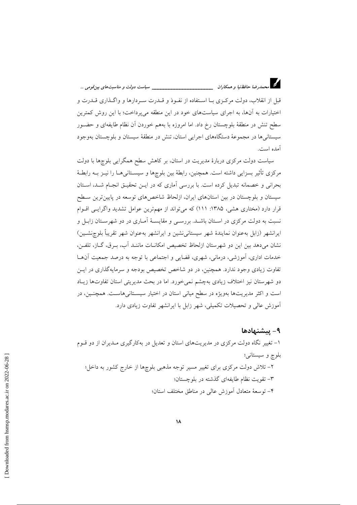قبل از انقلاب، دولت مركزي بــا اسـتفاده از نفــوذ و قــدرت ســردارها و واگــذاري قــدرت و اختیارات به آنها، به اجرای سیاستهای خود در این منطقه میپرداخت؛ با این روش کمترین سطح تنش در منطقهٔ بلوچستان رخ داد. اما امروزه با بههم خوردن آن نظام طايفهاى و حضـور سیستانیها در مجموعهٔ دستگاههای اجرایی استان، تنش در منطقهٔ سیستان و بلوچستان بهوجود آمده است.

سیاست دولت مرکزی دربارهٔ مدیریت در استان، بر کاهش سطح همگرایی بلوچها با دولت مرکزی تأثیر بسزایی داشته است. همچنین، رابطهٔ بین بلوچها و سیســتانی۵ــا را نیــز بــه رابطــهٔ بحرانی و خصمانه تبدیل کرده است. با بررسی آماری که در ایـن تحقیـق انجـام شـد، اسـتان سیستان و بلوچستان در بین استانهای ایران، ازلحاظ شاخصهای توسعه در پایین ترین سـطح قرار دارد (مختاری هشی، ۱۳۸۵: ۱۱۱) که میتواند از مهمترین عوامل تشدید واگرایـی اقـوام نسبت به دولت مرکزی در اسـتان باشـد. بررسـی و مقایسـهٔ آمـاری در دو شهرسـتان زابـل و ايرانشهر (زابل بهعنوان نمايندهٔ شهر سيستاني نشين و ايرانشهر بهعنوان شهر تقريباً بلوچنشـين) نشان میدهد بین این دو شهرستان ازلحاظ تخصیص امکانـات ماننـد آب، بـرق، گــاز، تلفـن، خدمات اداری، آموزشی، درمانی، شهری، قضایی و اجتماعی با توجه به درصد جمعیت آنها تفاوت زیادی وجود ندارد. همچنین، در دو شاخص تخصیص بودجه و سرمایهگذاری در ایـن دو شهرستان نیز اختلاف زیادی بهچشم نمیخورد. اما در بحث مدیریتی استان تفاوتها زیـاد است و اکثر مدیریتها بهویژه در سطح میانی استان در اختیار سیسـتانی۵اسـت. همچنـین، در آموزش عالی و تحصیلات تکمیلی، شهر زابل با ایرانشهر تفاوت زیادی دارد.

۹ – پیشنهادها ۱– تغییر نگاه دولت مرکزی در مدیریتهای استان و تعدیل در بهکارگیری مـدیران از دو قــوم بلوچ و سیستانی؛ ۲- تلاش دولت مرکزی برای تغییر مسیر توجه مذهبی بلوچها از خارج کشور به داخل؛ ۳– تقویت نظام طایفهای گذشته در بلوچستان؛ ۴– توسعهٔ متعادل آموزش عالی در مناطق مختلف استان؛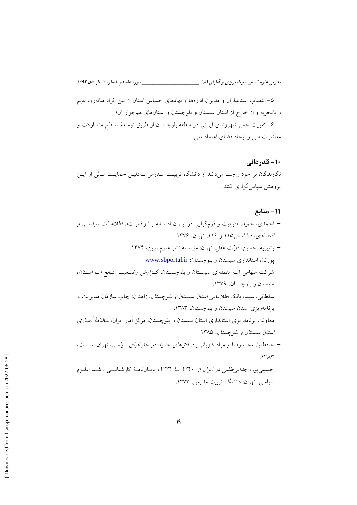مدرس علوم انسانی- برنامه ریزی و آمایش فضا \_\_\_\_\_\_\_\_\_\_\_\_\_\_\_\_\_\_\_\_\_\_\_\_\_\_\_\_\_\_\_ دورهٔ هفدهم، شمارهٔ ۲، تابستان ۱۳۹۲

۵– انتصاب استانداران و مدیران ادارهها و نهادهای حساس استان از بین افراد میانهرو، عالِم و باتجربه و از خارج از استان سیستان و بلوچستان و استانهای همجوار آن؛ ۶– تقویت حس شهروندی ایرانی در منطقهٔ بلوچستان از طریق توسعهٔ سـطح مشــارکت و معاشرت ملی و ایجاد فضای اعتماد ملی.

10- قدردانی نگارندگان بر خود واجب میدانند از دانشگاه تربیت مـدرس بـهدلیـل حمایـت مـالی از ایـن یژوهش سیاس گزاری کنند.

## 11- منابع

- احمدي، حميد، «قوميت و قومٍ گرايي در ايبران افسـانه يـا واقعيـت»، *اطلاعـات سياسـي و* اقتصادی، دا۱، ش201 و ۱۱۶، تهران، ۱۳۷۶. – بشيريه، حسين، *دولت عقل*، تهران: مؤسسهٔ نشر علوم نوين، ١٣٧۴. WWW.sbportal.ir - يورتال استانداري سيستان و بلوچستان: – شركت سهامى أب منطقهاى سيستان و بلوچستان، *گزارش وض*عيت *منـابع أب اسـتان*، سیستان و بلوچستان، ۱۳۷۹. – سلطانی، سیما، بانک *اطلاعاتی استان سیستان و بلوچستان*، زاهدان: چاپ سازمان مدیریت و برنامهریزی استان سیستان و بلوچستان، ۱۳۸۳. – معاونت برنامهریزی استانداری استان سیستان و بلوچستان، مرکز آمار ایران، *سالنامهٔ آمـاری* استان سيستان وبلوچستان، ١٣٨٥.
- حافظنیا، محمدرضا و مراد کاویانیراد، *افقهای جدید در جغرافیای سیاسی*، تهران: ســمت،  $147$
- حسینی پور، *جدایی طلبی در ایران از ۱۳۲۰ تــا ۱۳۳۲*، پایــانiامـهٔ کارشناســی ارشــد علــوم سیاسی، تھران: دانشگاه تربیت مدرس، ۱۳۷۷.